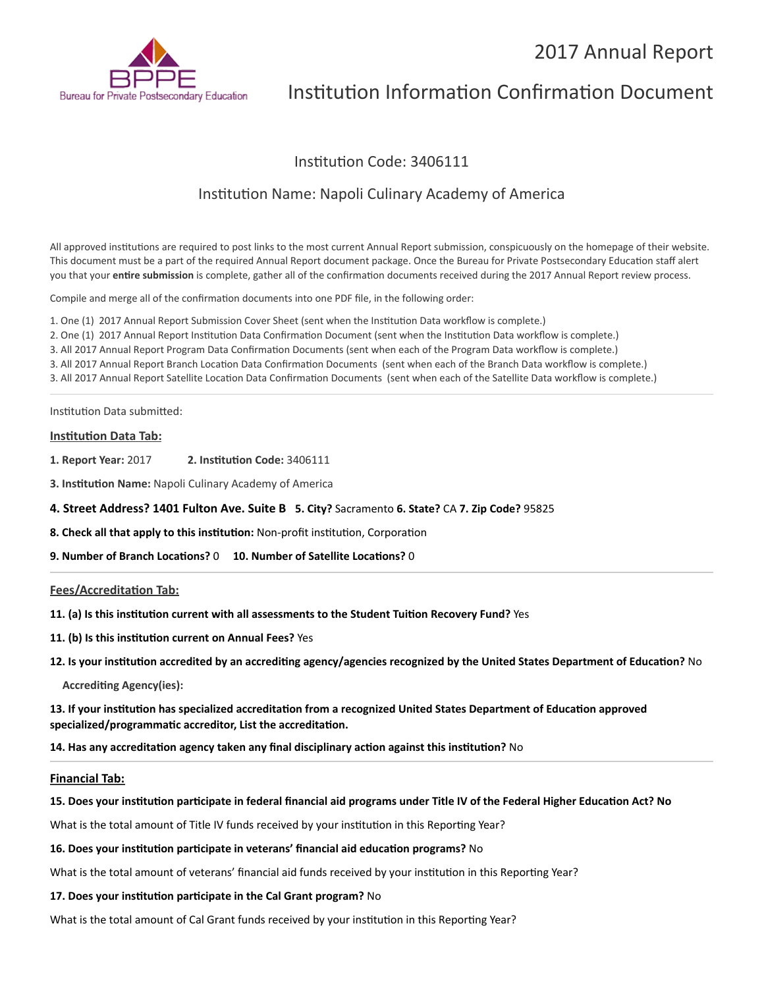# 2017 Annual Report



# Institution Information Confirmation Document

# Institution Code: 3406111

# Institution Name: Napoli Culinary Academy of America

All approved institutions are required to post links to the most current Annual Report submission, conspicuously on the homepage of their website. This document must be a part of the required Annual Report document package. Once the Bureau for Private Postsecondary Education staff alert you that your **entire submission** is complete, gather all of the confirmation documents received during the 2017 Annual Report review process.

Compile and merge all of the confirmation documents into one PDF file, in the following order:

1. One (1) 2017 Annual Report Submission Cover Sheet (sent when the Institution Data workflow is complete.) 2. One (1) 2017 Annual Report Institution Data Confirmation Document (sent when the Institution Data workflow is complete.) 3. All 2017 Annual Report Program Data Confirmation Documents (sent when each of the Program Data workflow is complete.) 3. All 2017 Annual Report Branch Location Data Confirmation Documents (sent when each of the Branch Data workflow is complete.) 3. All 2017 Annual Report Satellite Location Data Confirmation Documents (sent when each of the Satellite Data workflow is complete.)

Institution Data submitted:

## **Institution Data Tab:**

- **1. Report Year:** 2017 **2. Institution Code:** 3406111
- **3. Institution Name:** Napoli Culinary Academy of America

## **4. Street Address? 1401 Fulton Ave. Suite B 5. City?** Sacramento **6. State?** CA **7. Zip Code?** 95825

**8. Check all that apply to this institution:** Non-profit institution, Corporation

**9. Number of Branch Locations?** 0 **10. Number of Satellite Locations?** 0

## **Fees/Accreditation Tab:**

- **11. (a) Is this institution current with all assessments to the Student Tuition Recovery Fund?** Yes
- **11. (b) Is this institution current on Annual Fees?** Yes
- **12. Is your institution accredited by an accrediting agency/agencies recognized by the United States Department of Education?** No

**Accrediting Agency(ies):**

**13. If your institution has specialized accreditation from a recognized United States Department of Education approved specialized/programmatic accreditor, List the accreditation.**

**14. Has any accreditation agency taken any final disciplinary action against this institution?** No

#### **Financial Tab:**

## **15. Does your institution participate in federal financial aid programs under Title IV of the Federal Higher Education Act? No**

What is the total amount of Title IV funds received by your institution in this Reporting Year?

#### **16. Does your institution participate in veterans' financial aid education programs?** No

What is the total amount of veterans' financial aid funds received by your institution in this Reporting Year?

#### **17. Does your institution participate in the Cal Grant program?** No

What is the total amount of Cal Grant funds received by your institution in this Reporting Year?